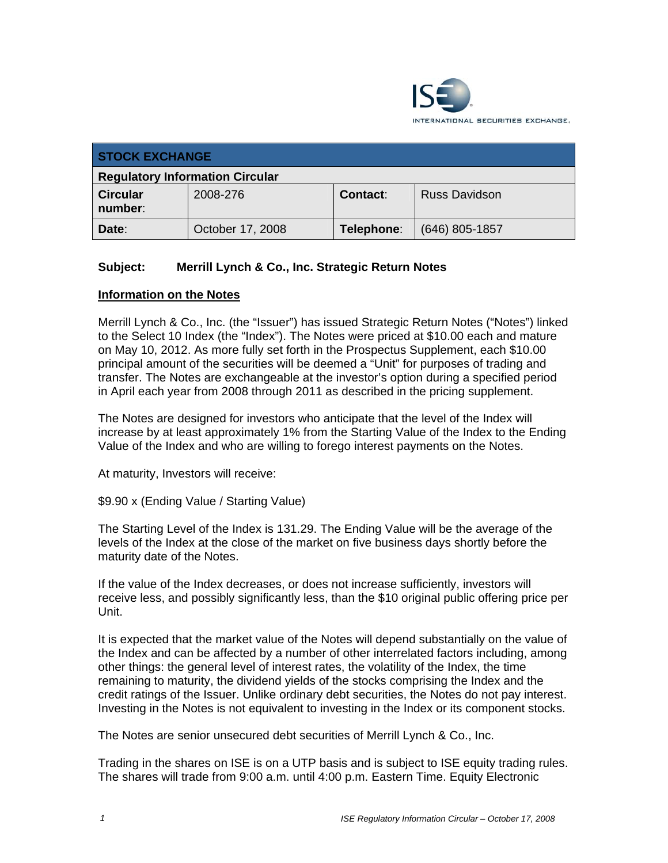

| <b>STOCK EXCHANGE</b>                  |                  |            |                      |  |  |
|----------------------------------------|------------------|------------|----------------------|--|--|
| <b>Regulatory Information Circular</b> |                  |            |                      |  |  |
| <b>Circular</b><br>number:             | 2008-276         | Contact:   | <b>Russ Davidson</b> |  |  |
| Date:                                  | October 17, 2008 | Telephone: | $(646)$ 805-1857     |  |  |

## **Subject: Merrill Lynch & Co., Inc. Strategic Return Notes**

## **Information on the Notes**

Merrill Lynch & Co., Inc. (the "Issuer") has issued Strategic Return Notes ("Notes") linked to the Select 10 Index (the "Index"). The Notes were priced at \$10.00 each and mature on May 10, 2012. As more fully set forth in the Prospectus Supplement, each \$10.00 principal amount of the securities will be deemed a "Unit" for purposes of trading and transfer. The Notes are exchangeable at the investor's option during a specified period in April each year from 2008 through 2011 as described in the pricing supplement.

The Notes are designed for investors who anticipate that the level of the Index will increase by at least approximately 1% from the Starting Value of the Index to the Ending Value of the Index and who are willing to forego interest payments on the Notes.

At maturity, Investors will receive:

\$9.90 x (Ending Value / Starting Value)

The Starting Level of the Index is 131.29. The Ending Value will be the average of the levels of the Index at the close of the market on five business days shortly before the maturity date of the Notes.

If the value of the Index decreases, or does not increase sufficiently, investors will receive less, and possibly significantly less, than the \$10 original public offering price per Unit.

It is expected that the market value of the Notes will depend substantially on the value of the Index and can be affected by a number of other interrelated factors including, among other things: the general level of interest rates, the volatility of the Index, the time remaining to maturity, the dividend yields of the stocks comprising the Index and the credit ratings of the Issuer. Unlike ordinary debt securities, the Notes do not pay interest. Investing in the Notes is not equivalent to investing in the Index or its component stocks.

The Notes are senior unsecured debt securities of Merrill Lynch & Co., Inc.

Trading in the shares on ISE is on a UTP basis and is subject to ISE equity trading rules. The shares will trade from 9:00 a.m. until 4:00 p.m. Eastern Time. Equity Electronic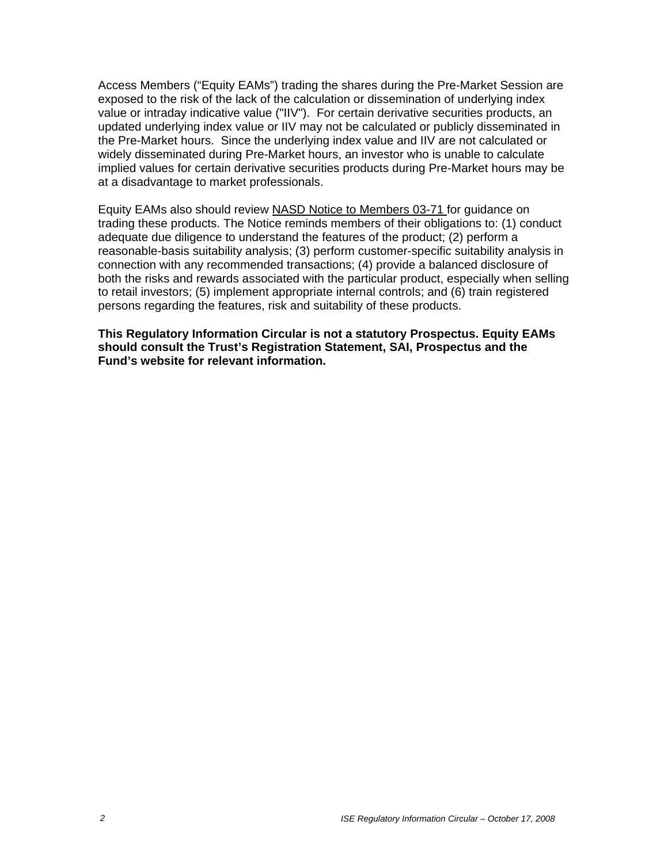Access Members ("Equity EAMs") trading the shares during the Pre-Market Session are exposed to the risk of the lack of the calculation or dissemination of underlying index value or intraday indicative value ("IIV"). For certain derivative securities products, an updated underlying index value or IIV may not be calculated or publicly disseminated in the Pre-Market hours. Since the underlying index value and IIV are not calculated or widely disseminated during Pre-Market hours, an investor who is unable to calculate implied values for certain derivative securities products during Pre-Market hours may be at a disadvantage to market professionals.

Equity EAMs also should review NASD Notice to Members 03-71 for guidance on trading these products. The Notice reminds members of their obligations to: (1) conduct adequate due diligence to understand the features of the product; (2) perform a reasonable-basis suitability analysis; (3) perform customer-specific suitability analysis in connection with any recommended transactions; (4) provide a balanced disclosure of both the risks and rewards associated with the particular product, especially when selling to retail investors; (5) implement appropriate internal controls; and (6) train registered persons regarding the features, risk and suitability of these products.

**This Regulatory Information Circular is not a statutory Prospectus. Equity EAMs should consult the Trust's Registration Statement, SAI, Prospectus and the Fund's website for relevant information.**